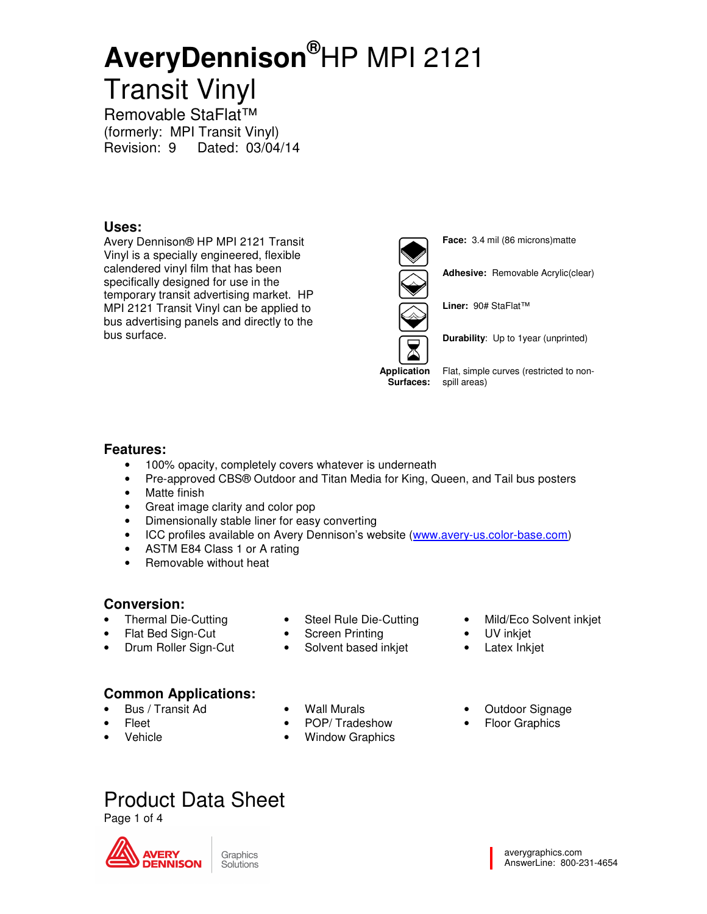Removable StaFlat™ (formerly: MPI Transit Vinyl) Revision: 9 Dated: 03/04/14

#### **Uses:**

Avery Dennison® HP MPI 2121 Transit Vinyl is a specially engineered, flexible calendered vinyl film that has been specifically designed for use in the temporary transit advertising market. HP MPI 2121 Transit Vinyl can be applied to bus advertising panels and directly to the bus surface.



**Face:** 3.4 mil (86 microns)matte

**Adhesive:** Removable Acrylic(clear)

**Liner:** 90# StaFlat™

**Durability**: Up to 1year (unprinted)

**Application** 

**Surfaces:**  spill areas) Flat, simple curves (restricted to non-

#### **Features:**

- 100% opacity, completely covers whatever is underneath
- Pre-approved CBS® Outdoor and Titan Media for King, Queen, and Tail bus posters
- Matte finish
- Great image clarity and color pop
- Dimensionally stable liner for easy converting
- ICC profiles available on Avery Dennison's website (www.avery-us.color-base.com)
- ASTM E84 Class 1 or A rating
- Removable without heat

### **Conversion:**

- Thermal Die-Cutting
- Flat Bed Sign-Cut
- Drum Roller Sign-Cut
- Steel Rule Die-Cutting
- **Screen Printing**
- Solvent based inkjet
- Mild/Eco Solvent inkjet
- UV inkjet
- Latex Inkjet

### **Common Applications:**

- Bus / Transit Ad
- Fleet
- Vehicle
- Wall Murals
- 
- POP/ Tradeshow
- **Window Graphics**
- 
- Outdoor Signage
- **Floor Graphics**

## Product Data Sheet

Page 1 of 4



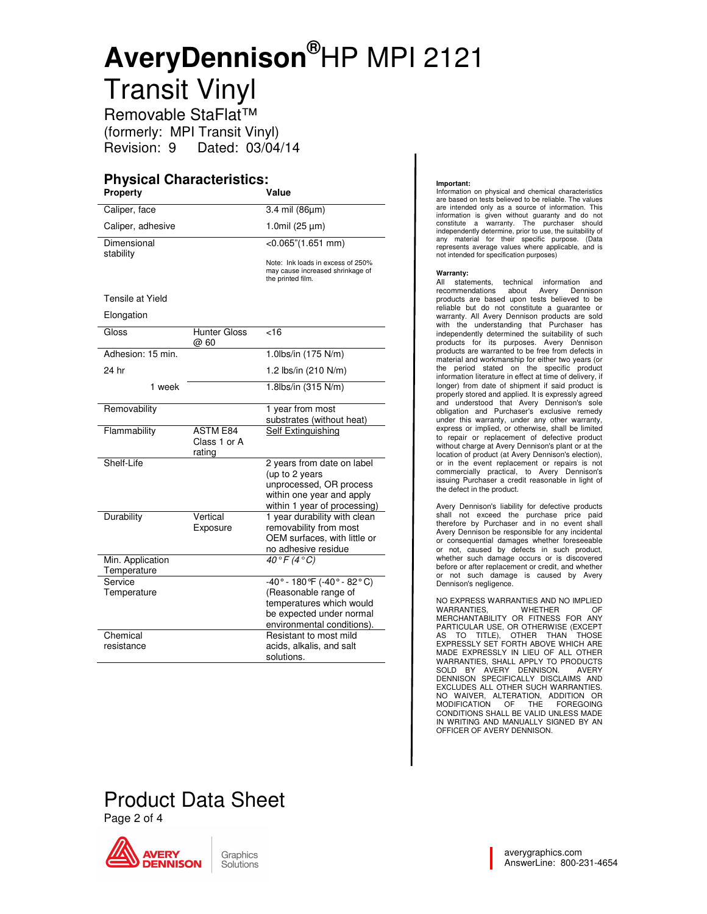Removable StaFlat™ (formerly: MPI Transit Vinyl) Revision: 9 Dated: 03/04/14

### **Physical Characteristics:**

| <b>Property</b>                 |                                           | Value                                                                                                         |
|---------------------------------|-------------------------------------------|---------------------------------------------------------------------------------------------------------------|
| Caliper, face                   |                                           | 3.4 mil (86µm)                                                                                                |
| Caliper, adhesive               |                                           | 1.0mil $(25 \mu m)$                                                                                           |
| Dimensional<br>stability        |                                           | $<0.065$ "(1.651 mm)                                                                                          |
|                                 |                                           | Note: Ink loads in excess of 250%<br>may cause increased shrinkage of<br>the printed film.                    |
| Tensile at Yield                |                                           |                                                                                                               |
| Elongation                      |                                           |                                                                                                               |
| Gloss                           | <b>Hunter Gloss</b><br>@ 60               | $\overline{5}$                                                                                                |
| Adhesion: 15 min.               |                                           | 1.0lbs/in (175 N/m)                                                                                           |
| 24 hr                           |                                           | 1.2 lbs/in (210 N/m)                                                                                          |
| 1 week                          |                                           | 1.8lbs/in (315 N/m)                                                                                           |
| Removability                    |                                           | 1 year from most<br>substrates (without heat)                                                                 |
| Flammability                    | <b>ASTM E84</b><br>Class 1 or A<br>rating | Self Extinguishing                                                                                            |
| Shelf-Life                      |                                           | 2 years from date on label<br>(up to 2 years<br>unprocessed, OR process                                       |
|                                 |                                           | within one year and apply<br>within 1 year of processing)                                                     |
| <b>Durability</b>               | Vertical<br>Exposure                      | 1 year durability with clean<br>removability from most<br>OEM surfaces, with little or<br>no adhesive residue |
| Min. Application<br>Temperature |                                           | $40^{\circ}$ F (4 $^{\circ}$ C)                                                                               |
| Service                         |                                           | $-40^{\circ} - 180^{\circ}F (-40^{\circ} - 82^{\circ}C)$                                                      |
| Temperature                     |                                           | (Reasonable range of<br>temperatures which would                                                              |
|                                 |                                           | be expected under normal                                                                                      |
| Chemical                        |                                           | environmental conditions).<br>Resistant to most mild                                                          |
| resistance                      |                                           | acids, alkalis, and salt<br>solutions.                                                                        |

#### **Important:**

Information on physical and chemical characteristics are based on tests believed to be reliable. The values are intended only as a source of information. This information is given without guaranty and do not constitute a warranty. The purchaser should independently determine, prior to use, the suitability of any material for their specific purpose. (Data represents average values where applicable, and is not intended for specification purposes)

#### **Warranty:**

All statements, technical information and recommendations about Avery Dennison products are based upon tests believed to be reliable but do not constitute a guarantee or warranty. All Avery Dennison products are sold with the understanding that Purchaser has independently determined the suitability of such products for its purposes. Avery Dennison products are warranted to be free from defects in material and workmanship for either two years (or the period stated on the specific product information literature in effect at time of delivery, if longer) from date of shipment if said product is properly stored and applied. It is expressly agreed and understood that Avery Dennison's sole obligation and Purchaser's exclusive remedy under this warranty, under any other warranty, express or implied, or otherwise, shall be limited to repair or replacement of defective product without charge at Avery Dennison's plant or at the location of product (at Avery Dennison's election), or in the event replacement or repairs is not commercially practical, to Avery Dennison's issuing Purchaser a credit reasonable in light of the defect in the product.

Avery Dennison's liability for defective products shall not exceed the purchase price paid therefore by Purchaser and in no event shall Avery Dennison be responsible for any incidental or consequential damages whether foreseeable or not, caused by defects in such product, whether such damage occurs or is discovered before or after replacement or credit, and whether or not such damage is caused by Avery Dennison's negligence.

NO EXPRESS WARRANTIES AND NO IMPLIED WARRANTIES, WHETHER OF MERCHANTABILITY OR FITNESS FOR ANY PARTICULAR USE, OR OTHERWISE (EXCEPT<br>AS TO TITLE), OTHER THAN THOSE<br>EXPRESSLY SET FORTH ABOVE WHICH ARE<br>MADE EXPRESSLY IN LIEU OF ALL OTHER<br>WARRANTIES, SHALL APPLY TO PRODUCTS<br>DENNISON SPECIFICALLY DISCLAIMS AND<br>DENNISON S NO WAIVER, ALTERATION, ADDITION OR MODIFICATION OF THE FOREGOING CONDITIONS SHALL BE VALID UNLESS MADE IN WRITING AND MANUALLY SIGNED BY AN OFFICER OF AVERY DENNISON.

## Product Data Sheet

Page 2 of 4



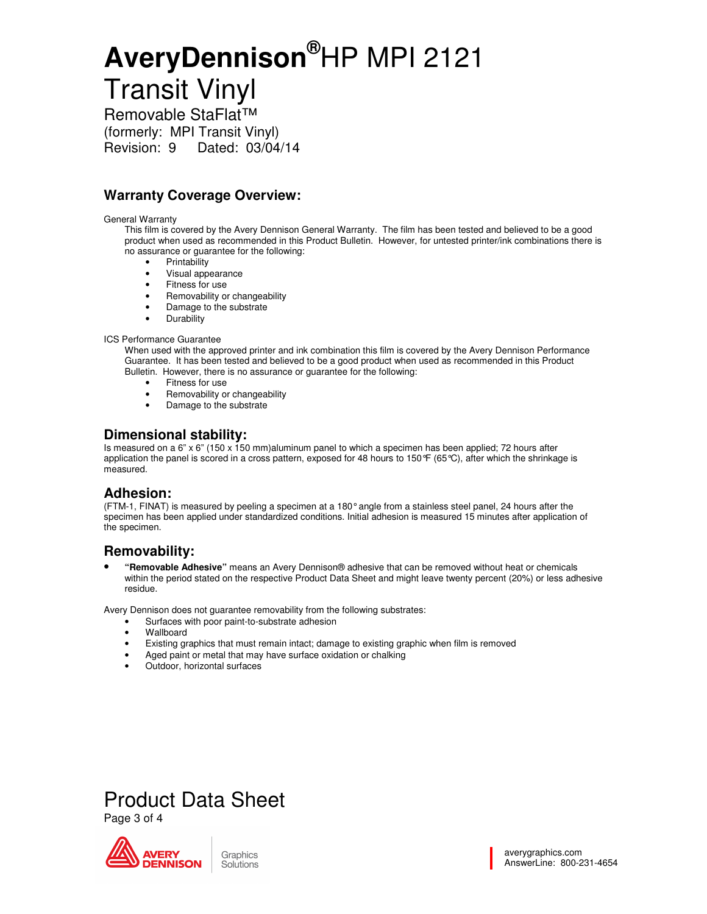Removable StaFlat™ (formerly: MPI Transit Vinyl) Revision: 9 Dated: 03/04/14

### **Warranty Coverage Overview:**

#### General Warranty

This film is covered by the Avery Dennison General Warranty. The film has been tested and believed to be a good product when used as recommended in this Product Bulletin. However, for untested printer/ink combinations there is no assurance or guarantee for the following:

- **Printability**
- Visual appearance
- Fitness for use
- Removability or changeability
- Damage to the substrate
- Durability

#### ICS Performance Guarantee

When used with the approved printer and ink combination this film is covered by the Avery Dennison Performance Guarantee. It has been tested and believed to be a good product when used as recommended in this Product Bulletin. However, there is no assurance or guarantee for the following:

- Fitness for use
- Removability or changeability
- Damage to the substrate

#### **Dimensional stability:**

Is measured on a 6" x 6" (150 x 150 mm)aluminum panel to which a specimen has been applied; 72 hours after application the panel is scored in a cross pattern, exposed for 48 hours to 150°F (65°C), after which the shrinkage is measured.

#### **Adhesion:**

(FTM-1, FINAT) is measured by peeling a specimen at a 180° angle from a stainless steel panel, 24 hours after the specimen has been applied under standardized conditions. Initial adhesion is measured 15 minutes after application of the specimen.

#### **Removability:**

• **"Removable Adhesive"** means an Avery Dennison® adhesive that can be removed without heat or chemicals within the period stated on the respective Product Data Sheet and might leave twenty percent (20%) or less adhesive residue.

Avery Dennison does not guarantee removability from the following substrates:

- Surfaces with poor paint-to-substrate adhesion
- Wallboard
- Existing graphics that must remain intact; damage to existing graphic when film is removed
- Aged paint or metal that may have surface oxidation or chalking
- Outdoor, horizontal surfaces



Product Data Sheet